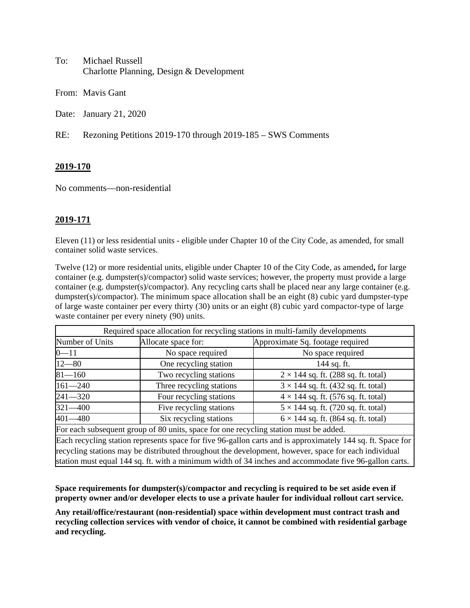| To: | Michael Russell                          |
|-----|------------------------------------------|
|     | Charlotte Planning, Design & Development |

From: Mavis Gant

Date: January 21, 2020

RE: Rezoning Petitions 2019-170 through 2019-185 – SWS Comments

# **2019-170**

No comments—non-residential

### **2019-171**

Eleven (11) or less residential units - eligible under Chapter 10 of the City Code, as amended, for small container solid waste services.

Twelve (12) or more residential units, eligible under Chapter 10 of the City Code, as amended**,** for large container (e.g. dumpster(s)/compactor) solid waste services; however, the property must provide a large container (e.g. dumpster(s)/compactor). Any recycling carts shall be placed near any large container (e.g. dumpster(s)/compactor). The minimum space allocation shall be an eight (8) cubic yard dumpster-type of large waste container per every thirty (30) units or an eight (8) cubic yard compactor-type of large waste container per every ninety (90) units.

| Required space allocation for recycling stations in multi-family developments         |                          |                                            |  |
|---------------------------------------------------------------------------------------|--------------------------|--------------------------------------------|--|
| Number of Units                                                                       | Allocate space for:      | Approximate Sq. footage required           |  |
| $0 - 11$                                                                              | No space required        | No space required                          |  |
| $12 - 80$                                                                             | One recycling station    | 144 sq. ft.                                |  |
| $81 - 160$                                                                            | Two recycling stations   | $2 \times 144$ sq. ft. (288 sq. ft. total) |  |
| $161 - 240$                                                                           | Three recycling stations | $3 \times 144$ sq. ft. (432 sq. ft. total) |  |
| $241 - 320$                                                                           | Four recycling stations  | $4 \times 144$ sq. ft. (576 sq. ft. total) |  |
| $321 - 400$                                                                           | Five recycling stations  | $5 \times 144$ sq. ft. (720 sq. ft. total) |  |
| $401 - 480$                                                                           | Six recycling stations   | $6 \times 144$ sq. ft. (864 sq. ft. total) |  |
| For each subsequent group of 80 units, space for one recycling station must be added. |                          |                                            |  |

Each recycling station represents space for five 96-gallon carts and is approximately 144 sq. ft. Space for recycling stations may be distributed throughout the development, however, space for each individual station must equal 144 sq. ft. with a minimum width of 34 inches and accommodate five 96-gallon carts.

**Space requirements for dumpster(s)/compactor and recycling is required to be set aside even if property owner and/or developer elects to use a private hauler for individual rollout cart service.**

**Any retail/office/restaurant (non-residential) space within development must contract trash and recycling collection services with vendor of choice, it cannot be combined with residential garbage and recycling.**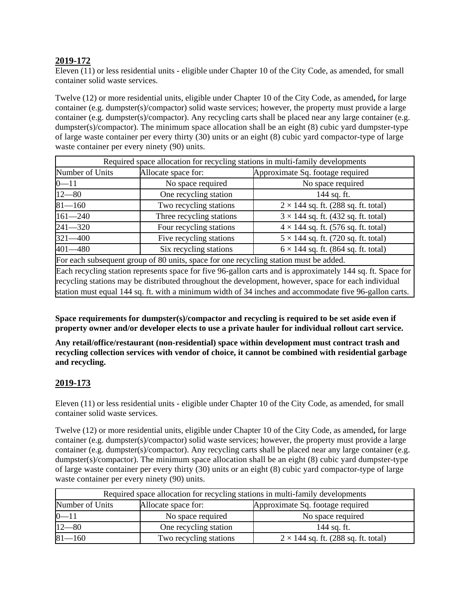# **2019-172**

Eleven (11) or less residential units - eligible under Chapter 10 of the City Code, as amended, for small container solid waste services.

Twelve (12) or more residential units, eligible under Chapter 10 of the City Code, as amended**,** for large container (e.g. dumpster(s)/compactor) solid waste services; however, the property must provide a large container (e.g. dumpster(s)/compactor). Any recycling carts shall be placed near any large container (e.g. dumpster(s)/compactor). The minimum space allocation shall be an eight (8) cubic yard dumpster-type of large waste container per every thirty (30) units or an eight (8) cubic yard compactor-type of large waste container per every ninety (90) units.

| Required space allocation for recycling stations in multi-family developments         |                          |                                            |  |
|---------------------------------------------------------------------------------------|--------------------------|--------------------------------------------|--|
| Number of Units                                                                       | Allocate space for:      | Approximate Sq. footage required           |  |
| $0 - 11$                                                                              | No space required        | No space required                          |  |
| $12 - 80$                                                                             | One recycling station    | 144 sq. ft.                                |  |
| $81 - 160$                                                                            | Two recycling stations   | $2 \times 144$ sq. ft. (288 sq. ft. total) |  |
| $161 - 240$                                                                           | Three recycling stations | $3 \times 144$ sq. ft. (432 sq. ft. total) |  |
| $241 - 320$                                                                           | Four recycling stations  | $4 \times 144$ sq. ft. (576 sq. ft. total) |  |
| $321 - 400$                                                                           | Five recycling stations  | $5 \times 144$ sq. ft. (720 sq. ft. total) |  |
| $401 - 480$                                                                           | Six recycling stations   | $6 \times 144$ sq. ft. (864 sq. ft. total) |  |
| For each subsequent group of 80 units, space for one recycling station must be added. |                          |                                            |  |

Each recycling station represents space for five 96-gallon carts and is approximately 144 sq. ft. Space for recycling stations may be distributed throughout the development, however, space for each individual station must equal 144 sq. ft. with a minimum width of 34 inches and accommodate five 96-gallon carts.

**Space requirements for dumpster(s)/compactor and recycling is required to be set aside even if property owner and/or developer elects to use a private hauler for individual rollout cart service.**

**Any retail/office/restaurant (non-residential) space within development must contract trash and recycling collection services with vendor of choice, it cannot be combined with residential garbage and recycling.** 

### **2019-173**

Eleven (11) or less residential units - eligible under Chapter 10 of the City Code, as amended, for small container solid waste services.

Twelve (12) or more residential units, eligible under Chapter 10 of the City Code, as amended**,** for large container (e.g. dumpster(s)/compactor) solid waste services; however, the property must provide a large container (e.g. dumpster(s)/compactor). Any recycling carts shall be placed near any large container (e.g. dumpster(s)/compactor). The minimum space allocation shall be an eight  $(8)$  cubic yard dumpster-type of large waste container per every thirty (30) units or an eight (8) cubic yard compactor-type of large waste container per every ninety (90) units.

| Required space allocation for recycling stations in multi-family developments |                        |                                            |  |
|-------------------------------------------------------------------------------|------------------------|--------------------------------------------|--|
| Number of Units                                                               | Allocate space for:    | Approximate Sq. footage required           |  |
| $0 - 11$                                                                      | No space required      | No space required                          |  |
| $12 - 80$                                                                     | One recycling station  | 144 sq. ft.                                |  |
| $81 - 160$                                                                    | Two recycling stations | $2 \times 144$ sq. ft. (288 sq. ft. total) |  |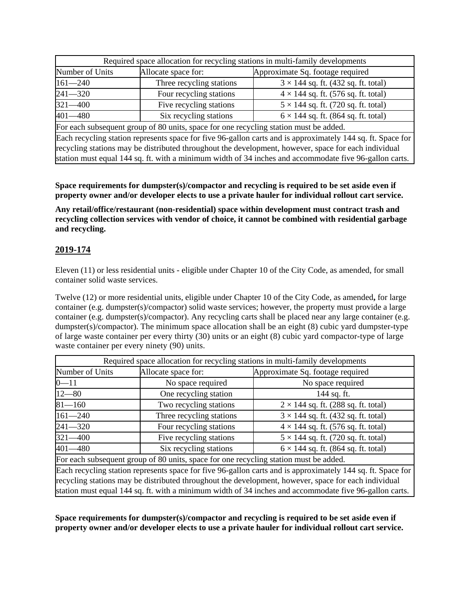| Required space allocation for recycling stations in multi-family developments         |                          |                                            |  |
|---------------------------------------------------------------------------------------|--------------------------|--------------------------------------------|--|
| Number of Units                                                                       | Allocate space for:      | Approximate Sq. footage required           |  |
| $161 - 240$                                                                           | Three recycling stations | $3 \times 144$ sq. ft. (432 sq. ft. total) |  |
| $241 - 320$                                                                           | Four recycling stations  | $4 \times 144$ sq. ft. (576 sq. ft. total) |  |
| $321 - 400$                                                                           | Five recycling stations  | $5 \times 144$ sq. ft. (720 sq. ft. total) |  |
| $401 - 480$<br>Six recycling stations<br>$6 \times 144$ sq. ft. (864 sq. ft. total)   |                          |                                            |  |
| For each subsequent group of 80 units, space for one recycling station must be added. |                          |                                            |  |

Each recycling station represents space for five 96-gallon carts and is approximately 144 sq. ft. Space for recycling stations may be distributed throughout the development, however, space for each individual station must equal 144 sq. ft. with a minimum width of 34 inches and accommodate five 96-gallon carts.

**Space requirements for dumpster(s)/compactor and recycling is required to be set aside even if property owner and/or developer elects to use a private hauler for individual rollout cart service.**

**Any retail/office/restaurant (non-residential) space within development must contract trash and recycling collection services with vendor of choice, it cannot be combined with residential garbage and recycling.** 

# **2019-174**

Eleven (11) or less residential units - eligible under Chapter 10 of the City Code, as amended, for small container solid waste services.

Twelve (12) or more residential units, eligible under Chapter 10 of the City Code, as amended**,** for large container (e.g. dumpster(s)/compactor) solid waste services; however, the property must provide a large container (e.g. dumpster(s)/compactor). Any recycling carts shall be placed near any large container (e.g. dumpster(s)/compactor). The minimum space allocation shall be an eight  $(8)$  cubic yard dumpster-type of large waste container per every thirty (30) units or an eight (8) cubic yard compactor-type of large waste container per every ninety (90) units.

| Required space allocation for recycling stations in multi-family developments                               |                          |                                            |  |
|-------------------------------------------------------------------------------------------------------------|--------------------------|--------------------------------------------|--|
| Number of Units                                                                                             | Allocate space for:      | Approximate Sq. footage required           |  |
| $0 - 11$                                                                                                    | No space required        | No space required                          |  |
| $12 - 80$                                                                                                   | One recycling station    | 144 sq. ft.                                |  |
| $81 - 160$                                                                                                  | Two recycling stations   | $2 \times 144$ sq. ft. (288 sq. ft. total) |  |
| $161 - 240$                                                                                                 | Three recycling stations | $3 \times 144$ sq. ft. (432 sq. ft. total) |  |
| $241 - 320$                                                                                                 | Four recycling stations  | $4 \times 144$ sq. ft. (576 sq. ft. total) |  |
| $321 - 400$                                                                                                 | Five recycling stations  | $5 \times 144$ sq. ft. (720 sq. ft. total) |  |
| $401 - 480$                                                                                                 | Six recycling stations   | $6 \times 144$ sq. ft. (864 sq. ft. total) |  |
| For each subsequent group of 80 units, space for one recycling station must be added.                       |                          |                                            |  |
| Each recycling station represents space for five 96-gallon carts and is approximately 144 sq. ft. Space for |                          |                                            |  |
| recycling stations may be distributed throughout the development, however, space for each individual        |                          |                                            |  |
| station must equal 144 sq. ft. with a minimum width of 34 inches and accommodate five 96-gallon carts.      |                          |                                            |  |

**Space requirements for dumpster(s)/compactor and recycling is required to be set aside even if property owner and/or developer elects to use a private hauler for individual rollout cart service.**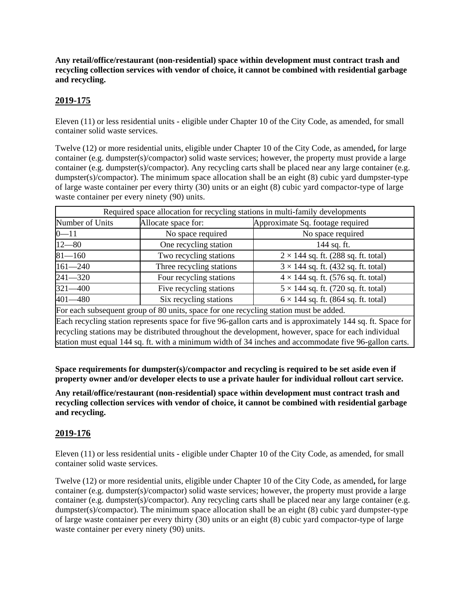**Any retail/office/restaurant (non-residential) space within development must contract trash and recycling collection services with vendor of choice, it cannot be combined with residential garbage and recycling.** 

# **2019-175**

Eleven (11) or less residential units - eligible under Chapter 10 of the City Code, as amended, for small container solid waste services.

Twelve (12) or more residential units, eligible under Chapter 10 of the City Code, as amended**,** for large container (e.g. dumpster(s)/compactor) solid waste services; however, the property must provide a large container (e.g. dumpster(s)/compactor). Any recycling carts shall be placed near any large container (e.g. dumpster(s)/compactor). The minimum space allocation shall be an eight (8) cubic yard dumpster-type of large waste container per every thirty (30) units or an eight (8) cubic yard compactor-type of large waste container per every ninety (90) units.

|                                                                                                             | Required space allocation for recycling stations in multi-family developments |                                            |  |  |
|-------------------------------------------------------------------------------------------------------------|-------------------------------------------------------------------------------|--------------------------------------------|--|--|
| Number of Units                                                                                             | Allocate space for:                                                           | Approximate Sq. footage required           |  |  |
| $0 - 11$                                                                                                    | No space required                                                             | No space required                          |  |  |
| $12 - 80$                                                                                                   | One recycling station                                                         | 144 sq. ft.                                |  |  |
| $81 - 160$                                                                                                  | Two recycling stations                                                        | $2 \times 144$ sq. ft. (288 sq. ft. total) |  |  |
| $161 - 240$                                                                                                 | Three recycling stations                                                      | $3 \times 144$ sq. ft. (432 sq. ft. total) |  |  |
| $241 - 320$                                                                                                 | Four recycling stations                                                       | $4 \times 144$ sq. ft. (576 sq. ft. total) |  |  |
| $321 - 400$                                                                                                 | Five recycling stations                                                       | $5 \times 144$ sq. ft. (720 sq. ft. total) |  |  |
| $401 - 480$                                                                                                 | Six recycling stations                                                        | $6 \times 144$ sq. ft. (864 sq. ft. total) |  |  |
| For each subsequent group of 80 units, space for one recycling station must be added.                       |                                                                               |                                            |  |  |
| Each recycling station represents space for five 96-gallon carts and is approximately 144 sq. ft. Space for |                                                                               |                                            |  |  |
| recycling stations may be distributed throughout the development, however, space for each individual        |                                                                               |                                            |  |  |
| station must equal 144 sq. ft. with a minimum width of 34 inches and accommodate five 96-gallon carts.      |                                                                               |                                            |  |  |

**Space requirements for dumpster(s)/compactor and recycling is required to be set aside even if property owner and/or developer elects to use a private hauler for individual rollout cart service.**

**Any retail/office/restaurant (non-residential) space within development must contract trash and recycling collection services with vendor of choice, it cannot be combined with residential garbage and recycling.** 

# **2019-176**

Eleven (11) or less residential units - eligible under Chapter 10 of the City Code, as amended, for small container solid waste services.

Twelve (12) or more residential units, eligible under Chapter 10 of the City Code, as amended**,** for large container (e.g. dumpster(s)/compactor) solid waste services; however, the property must provide a large container (e.g. dumpster(s)/compactor). Any recycling carts shall be placed near any large container (e.g. dumpster(s)/compactor). The minimum space allocation shall be an eight (8) cubic yard dumpster-type of large waste container per every thirty (30) units or an eight (8) cubic yard compactor-type of large waste container per every ninety (90) units.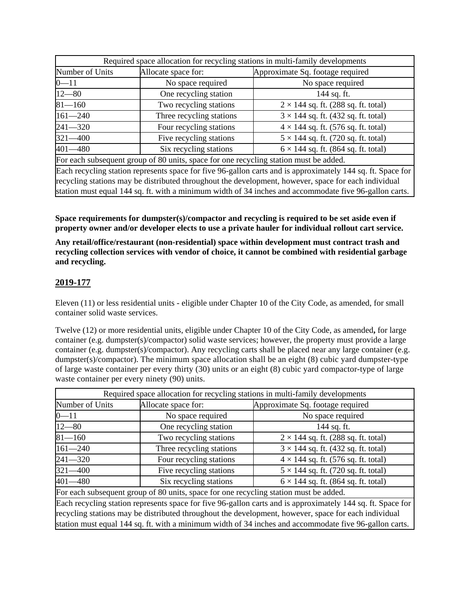| Required space allocation for recycling stations in multi-family developments         |                          |                                            |
|---------------------------------------------------------------------------------------|--------------------------|--------------------------------------------|
| Number of Units                                                                       | Allocate space for:      | Approximate Sq. footage required           |
| $0 - 11$                                                                              | No space required        | No space required                          |
| $12 - 80$                                                                             | One recycling station    | 144 sq. ft.                                |
| $81 - 160$                                                                            | Two recycling stations   | $2 \times 144$ sq. ft. (288 sq. ft. total) |
| $161 - 240$                                                                           | Three recycling stations | $3 \times 144$ sq. ft. (432 sq. ft. total) |
| $241 - 320$                                                                           | Four recycling stations  | $4 \times 144$ sq. ft. (576 sq. ft. total) |
| $321 - 400$                                                                           | Five recycling stations  | $5 \times 144$ sq. ft. (720 sq. ft. total) |
| 401-480                                                                               | Six recycling stations   | $6 \times 144$ sq. ft. (864 sq. ft. total) |
| For each subsequent group of 80 units, space for one recycling station must be added. |                          |                                            |

Each recycling station represents space for five 96-gallon carts and is approximately 144 sq. ft. Space for recycling stations may be distributed throughout the development, however, space for each individual station must equal 144 sq. ft. with a minimum width of 34 inches and accommodate five 96-gallon carts.

**Space requirements for dumpster(s)/compactor and recycling is required to be set aside even if property owner and/or developer elects to use a private hauler for individual rollout cart service.**

**Any retail/office/restaurant (non-residential) space within development must contract trash and recycling collection services with vendor of choice, it cannot be combined with residential garbage and recycling.** 

# **2019-177**

Eleven (11) or less residential units - eligible under Chapter 10 of the City Code, as amended, for small container solid waste services.

Twelve (12) or more residential units, eligible under Chapter 10 of the City Code, as amended**,** for large container (e.g. dumpster(s)/compactor) solid waste services; however, the property must provide a large container (e.g. dumpster(s)/compactor). Any recycling carts shall be placed near any large container (e.g. dumpster(s)/compactor). The minimum space allocation shall be an eight (8) cubic yard dumpster-type of large waste container per every thirty (30) units or an eight (8) cubic yard compactor-type of large waste container per every ninety (90) units.

| Required space allocation for recycling stations in multi-family developments                               |                          |                                            |  |
|-------------------------------------------------------------------------------------------------------------|--------------------------|--------------------------------------------|--|
| Number of Units                                                                                             | Allocate space for:      | Approximate Sq. footage required           |  |
| $0 - 11$                                                                                                    | No space required        | No space required                          |  |
| $12 - 80$                                                                                                   | One recycling station    | 144 sq. ft.                                |  |
| $81 - 160$                                                                                                  | Two recycling stations   | $2 \times 144$ sq. ft. (288 sq. ft. total) |  |
| $161 - 240$                                                                                                 | Three recycling stations | $3 \times 144$ sq. ft. (432 sq. ft. total) |  |
| $241 - 320$                                                                                                 | Four recycling stations  | $4 \times 144$ sq. ft. (576 sq. ft. total) |  |
| $321 - 400$                                                                                                 | Five recycling stations  | $5 \times 144$ sq. ft. (720 sq. ft. total) |  |
| $401 - 480$                                                                                                 | Six recycling stations   | $6 \times 144$ sq. ft. (864 sq. ft. total) |  |
| For each subsequent group of 80 units, space for one recycling station must be added.                       |                          |                                            |  |
| Each recycling station represents space for five 96-gallon carts and is approximately 144 sq. ft. Space for |                          |                                            |  |
| recycling stations may be distributed throughout the development, however, space for each individual        |                          |                                            |  |
| station must equal 144 sq. ft. with a minimum width of 34 inches and accommodate five 96-gallon carts.      |                          |                                            |  |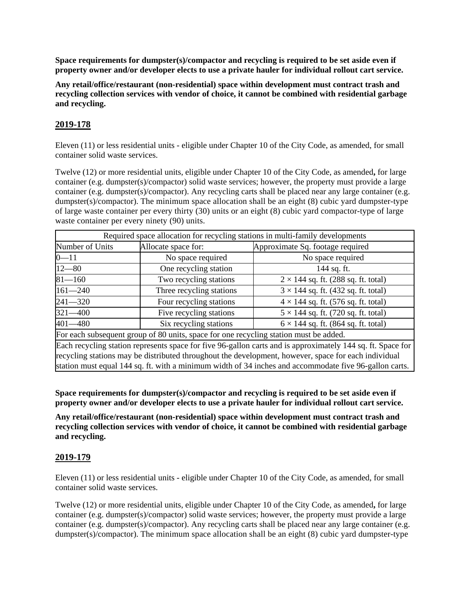**Space requirements for dumpster(s)/compactor and recycling is required to be set aside even if property owner and/or developer elects to use a private hauler for individual rollout cart service.**

**Any retail/office/restaurant (non-residential) space within development must contract trash and recycling collection services with vendor of choice, it cannot be combined with residential garbage and recycling.** 

### **2019-178**

Eleven (11) or less residential units - eligible under Chapter 10 of the City Code, as amended, for small container solid waste services.

Twelve (12) or more residential units, eligible under Chapter 10 of the City Code, as amended**,** for large container (e.g. dumpster(s)/compactor) solid waste services; however, the property must provide a large container (e.g. dumpster(s)/compactor). Any recycling carts shall be placed near any large container (e.g. dumpster(s)/compactor). The minimum space allocation shall be an eight (8) cubic yard dumpster-type of large waste container per every thirty (30) units or an eight (8) cubic yard compactor-type of large waste container per every ninety (90) units.

| Required space allocation for recycling stations in multi-family developments                               |                          |                                            |  |
|-------------------------------------------------------------------------------------------------------------|--------------------------|--------------------------------------------|--|
| Number of Units                                                                                             | Allocate space for:      | Approximate Sq. footage required           |  |
| $0 - 11$                                                                                                    | No space required        | No space required                          |  |
| $12 - 80$                                                                                                   | One recycling station    | 144 sq. ft.                                |  |
| $81 - 160$                                                                                                  | Two recycling stations   | $2 \times 144$ sq. ft. (288 sq. ft. total) |  |
| $161 - 240$                                                                                                 | Three recycling stations | $3 \times 144$ sq. ft. (432 sq. ft. total) |  |
| $241 - 320$                                                                                                 | Four recycling stations  | $4 \times 144$ sq. ft. (576 sq. ft. total) |  |
| $321 - 400$                                                                                                 | Five recycling stations  | $5 \times 144$ sq. ft. (720 sq. ft. total) |  |
| $401 - 480$                                                                                                 | Six recycling stations   | $6 \times 144$ sq. ft. (864 sq. ft. total) |  |
| For each subsequent group of 80 units, space for one recycling station must be added.                       |                          |                                            |  |
| Each recycling station represents space for five 96-gallon carts and is approximately 144 sq. ft. Space for |                          |                                            |  |
| recycling stations may be distributed throughout the development, however, space for each individual        |                          |                                            |  |
| station must equal 144 sq. ft. with a minimum width of 34 inches and accommodate five 96-gallon carts.      |                          |                                            |  |

**Space requirements for dumpster(s)/compactor and recycling is required to be set aside even if property owner and/or developer elects to use a private hauler for individual rollout cart service.**

**Any retail/office/restaurant (non-residential) space within development must contract trash and recycling collection services with vendor of choice, it cannot be combined with residential garbage and recycling.** 

### **2019-179**

Eleven (11) or less residential units - eligible under Chapter 10 of the City Code, as amended, for small container solid waste services.

Twelve (12) or more residential units, eligible under Chapter 10 of the City Code, as amended**,** for large container (e.g. dumpster(s)/compactor) solid waste services; however, the property must provide a large container (e.g. dumpster(s)/compactor). Any recycling carts shall be placed near any large container (e.g. dumpster(s)/compactor). The minimum space allocation shall be an eight  $(8)$  cubic yard dumpster-type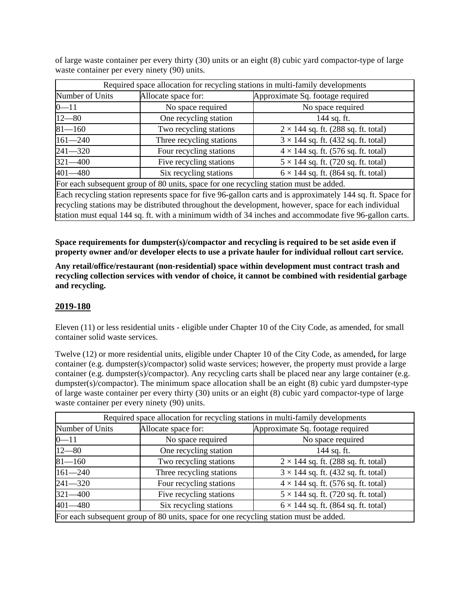of large waste container per every thirty (30) units or an eight (8) cubic yard compactor-type of large waste container per every ninety (90) units.

| Required space allocation for recycling stations in multi-family developments                               |                          |                                            |  |
|-------------------------------------------------------------------------------------------------------------|--------------------------|--------------------------------------------|--|
| Number of Units                                                                                             | Allocate space for:      | Approximate Sq. footage required           |  |
| $0 - 11$                                                                                                    | No space required        | No space required                          |  |
| $12 - 80$                                                                                                   | One recycling station    | 144 sq. ft.                                |  |
| $81 - 160$                                                                                                  | Two recycling stations   | $2 \times 144$ sq. ft. (288 sq. ft. total) |  |
| $161 - 240$                                                                                                 | Three recycling stations | $3 \times 144$ sq. ft. (432 sq. ft. total) |  |
| $241 - 320$                                                                                                 | Four recycling stations  | $4 \times 144$ sq. ft. (576 sq. ft. total) |  |
| $321 - 400$                                                                                                 | Five recycling stations  | $5 \times 144$ sq. ft. (720 sq. ft. total) |  |
| $401 - 480$                                                                                                 | Six recycling stations   | $6 \times 144$ sq. ft. (864 sq. ft. total) |  |
| For each subsequent group of 80 units, space for one recycling station must be added.                       |                          |                                            |  |
| Each recycling station represents space for five 96-gallon carts and is approximately 144 sq. ft. Space for |                          |                                            |  |
| recycling stations may be distributed throughout the development, however, space for each individual        |                          |                                            |  |
| station must equal 144 sq. ft. with a minimum width of 34 inches and accommodate five 96-gallon carts.      |                          |                                            |  |

**Space requirements for dumpster(s)/compactor and recycling is required to be set aside even if property owner and/or developer elects to use a private hauler for individual rollout cart service.**

**Any retail/office/restaurant (non-residential) space within development must contract trash and recycling collection services with vendor of choice, it cannot be combined with residential garbage and recycling.** 

#### **2019-180**

Eleven (11) or less residential units - eligible under Chapter 10 of the City Code, as amended, for small container solid waste services.

Twelve (12) or more residential units, eligible under Chapter 10 of the City Code, as amended**,** for large container (e.g. dumpster(s)/compactor) solid waste services; however, the property must provide a large container (e.g. dumpster(s)/compactor). Any recycling carts shall be placed near any large container (e.g. dumpster(s)/compactor). The minimum space allocation shall be an eight (8) cubic yard dumpster-type of large waste container per every thirty (30) units or an eight (8) cubic yard compactor-type of large waste container per every ninety (90) units.

| Required space allocation for recycling stations in multi-family developments         |                          |                                            |  |
|---------------------------------------------------------------------------------------|--------------------------|--------------------------------------------|--|
| Number of Units                                                                       | Allocate space for:      | Approximate Sq. footage required           |  |
| $0 - 11$                                                                              | No space required        | No space required                          |  |
| $12 - 80$                                                                             | One recycling station    | 144 sq. ft.                                |  |
| $81 - 160$                                                                            | Two recycling stations   | $2 \times 144$ sq. ft. (288 sq. ft. total) |  |
| $161 - 240$                                                                           | Three recycling stations | $3 \times 144$ sq. ft. (432 sq. ft. total) |  |
| $241 - 320$                                                                           | Four recycling stations  | $4 \times 144$ sq. ft. (576 sq. ft. total) |  |
| $321 - 400$                                                                           | Five recycling stations  | $5 \times 144$ sq. ft. (720 sq. ft. total) |  |
| $401 - 480$                                                                           | Six recycling stations   | $6 \times 144$ sq. ft. (864 sq. ft. total) |  |
| For each subsequent group of 80 units, space for one recycling station must be added. |                          |                                            |  |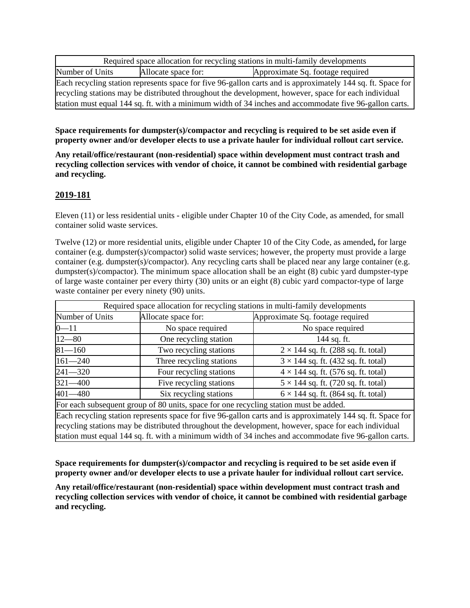| Required space allocation for recycling stations in multi-family developments                               |                     |                                  |
|-------------------------------------------------------------------------------------------------------------|---------------------|----------------------------------|
| Number of Units                                                                                             | Allocate space for: | Approximate Sq. footage required |
| Each recycling station represents space for five 96-gallon carts and is approximately 144 sq. ft. Space for |                     |                                  |
| recycling stations may be distributed throughout the development, however, space for each individual        |                     |                                  |
| station must equal 144 sq. ft. with a minimum width of 34 inches and accommodate five 96-gallon carts.      |                     |                                  |

**Space requirements for dumpster(s)/compactor and recycling is required to be set aside even if property owner and/or developer elects to use a private hauler for individual rollout cart service.**

**Any retail/office/restaurant (non-residential) space within development must contract trash and recycling collection services with vendor of choice, it cannot be combined with residential garbage and recycling.** 

#### **2019-181**

Eleven (11) or less residential units - eligible under Chapter 10 of the City Code, as amended, for small container solid waste services.

Twelve (12) or more residential units, eligible under Chapter 10 of the City Code, as amended**,** for large container (e.g. dumpster(s)/compactor) solid waste services; however, the property must provide a large container (e.g. dumpster(s)/compactor). Any recycling carts shall be placed near any large container (e.g. dumpster(s)/compactor). The minimum space allocation shall be an eight  $(8)$  cubic yard dumpster-type of large waste container per every thirty (30) units or an eight (8) cubic yard compactor-type of large waste container per every ninety (90) units.

| Required space allocation for recycling stations in multi-family developments                               |                          |                                            |
|-------------------------------------------------------------------------------------------------------------|--------------------------|--------------------------------------------|
| Number of Units                                                                                             | Allocate space for:      | Approximate Sq. footage required           |
| $0 - 11$                                                                                                    | No space required        | No space required                          |
| $12 - 80$                                                                                                   | One recycling station    | 144 sq. ft.                                |
| $81 - 160$                                                                                                  | Two recycling stations   | $2 \times 144$ sq. ft. (288 sq. ft. total) |
| $161 - 240$                                                                                                 | Three recycling stations | $3 \times 144$ sq. ft. (432 sq. ft. total) |
| $241 - 320$                                                                                                 | Four recycling stations  | $4 \times 144$ sq. ft. (576 sq. ft. total) |
| $321 - 400$                                                                                                 | Five recycling stations  | $5 \times 144$ sq. ft. (720 sq. ft. total) |
| $401 - 480$                                                                                                 | Six recycling stations   | $6 \times 144$ sq. ft. (864 sq. ft. total) |
| For each subsequent group of 80 units, space for one recycling station must be added.                       |                          |                                            |
| Each recycling station represents space for five 06 gallon carts and is approximately 144 sq. ft. Space for |                          |                                            |

Each recycling station represents space for five 96-gallon carts and is approximately 144 sq. ft. Space for recycling stations may be distributed throughout the development, however, space for each individual station must equal 144 sq. ft. with a minimum width of 34 inches and accommodate five 96-gallon carts.

**Space requirements for dumpster(s)/compactor and recycling is required to be set aside even if property owner and/or developer elects to use a private hauler for individual rollout cart service.**

**Any retail/office/restaurant (non-residential) space within development must contract trash and recycling collection services with vendor of choice, it cannot be combined with residential garbage and recycling.**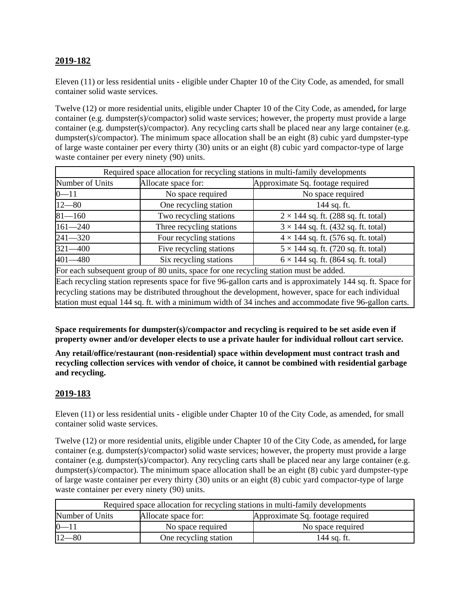# **2019-182**

Eleven (11) or less residential units - eligible under Chapter 10 of the City Code, as amended, for small container solid waste services.

Twelve (12) or more residential units, eligible under Chapter 10 of the City Code, as amended**,** for large container (e.g. dumpster(s)/compactor) solid waste services; however, the property must provide a large container (e.g. dumpster(s)/compactor). Any recycling carts shall be placed near any large container (e.g. dumpster(s)/compactor). The minimum space allocation shall be an eight (8) cubic yard dumpster-type of large waste container per every thirty (30) units or an eight (8) cubic yard compactor-type of large waste container per every ninety (90) units.

| Required space allocation for recycling stations in multi-family developments                               |                          |                                            |
|-------------------------------------------------------------------------------------------------------------|--------------------------|--------------------------------------------|
| Number of Units                                                                                             | Allocate space for:      | Approximate Sq. footage required           |
| $0 - 11$                                                                                                    | No space required        | No space required                          |
| $12 - 80$                                                                                                   | One recycling station    | 144 sq. ft.                                |
| $81 - 160$                                                                                                  | Two recycling stations   | $2 \times 144$ sq. ft. (288 sq. ft. total) |
| $161 - 240$                                                                                                 | Three recycling stations | $3 \times 144$ sq. ft. (432 sq. ft. total) |
| $241 - 320$                                                                                                 | Four recycling stations  | $4 \times 144$ sq. ft. (576 sq. ft. total) |
| $321 - 400$                                                                                                 | Five recycling stations  | $5 \times 144$ sq. ft. (720 sq. ft. total) |
| 401-480                                                                                                     | Six recycling stations   | $6 \times 144$ sq. ft. (864 sq. ft. total) |
| For each subsequent group of 80 units, space for one recycling station must be added.                       |                          |                                            |
| Each recycling station represents space for five 96-gallon carts and is approximately 144 sq. ft. Space for |                          |                                            |
| recycling stations may be distributed throughout the development, however, space for each individual        |                          |                                            |
| station must equal 144 sq. ft. with a minimum width of 34 inches and accommodate five 96-gallon carts.      |                          |                                            |

**Space requirements for dumpster(s)/compactor and recycling is required to be set aside even if property owner and/or developer elects to use a private hauler for individual rollout cart service.**

**Any retail/office/restaurant (non-residential) space within development must contract trash and recycling collection services with vendor of choice, it cannot be combined with residential garbage and recycling.** 

### **2019-183**

Eleven (11) or less residential units - eligible under Chapter 10 of the City Code, as amended, for small container solid waste services.

Twelve (12) or more residential units, eligible under Chapter 10 of the City Code, as amended**,** for large container (e.g. dumpster(s)/compactor) solid waste services; however, the property must provide a large container (e.g. dumpster(s)/compactor). Any recycling carts shall be placed near any large container (e.g. dumpster(s)/compactor). The minimum space allocation shall be an eight (8) cubic yard dumpster-type of large waste container per every thirty (30) units or an eight (8) cubic yard compactor-type of large waste container per every ninety (90) units.

| Required space allocation for recycling stations in multi-family developments |                       |                                  |  |
|-------------------------------------------------------------------------------|-----------------------|----------------------------------|--|
| Number of Units                                                               | Allocate space for:   | Approximate Sq. footage required |  |
| $0 - 11$                                                                      | No space required     | No space required                |  |
| $12 - 80$                                                                     | One recycling station | 144 sa. ft.                      |  |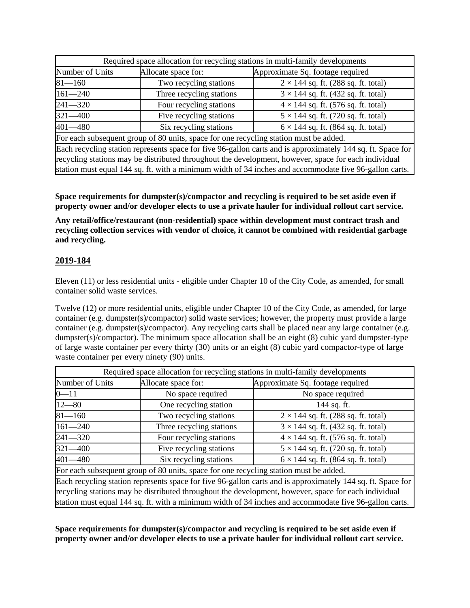| Required space allocation for recycling stations in multi-family developments                               |                          |                                            |
|-------------------------------------------------------------------------------------------------------------|--------------------------|--------------------------------------------|
| Number of Units                                                                                             | Allocate space for:      | Approximate Sq. footage required           |
| $81 - 160$                                                                                                  | Two recycling stations   | $2 \times 144$ sq. ft. (288 sq. ft. total) |
| $161 - 240$                                                                                                 | Three recycling stations | $3 \times 144$ sq. ft. (432 sq. ft. total) |
| $241 - 320$                                                                                                 | Four recycling stations  | $4 \times 144$ sq. ft. (576 sq. ft. total) |
| $321 - 400$                                                                                                 | Five recycling stations  | $5 \times 144$ sq. ft. (720 sq. ft. total) |
| $401 - 480$                                                                                                 | Six recycling stations   | $6 \times 144$ sq. ft. (864 sq. ft. total) |
| For each subsequent group of 80 units, space for one recycling station must be added.                       |                          |                                            |
| Each recycling station represents space for five 96-gallon carts and is approximately 144 sq. ft. Space for |                          |                                            |

recycling stations may be distributed throughout the development, however, space for each individual station must equal 144 sq. ft. with a minimum width of 34 inches and accommodate five 96-gallon carts.

**Space requirements for dumpster(s)/compactor and recycling is required to be set aside even if property owner and/or developer elects to use a private hauler for individual rollout cart service.**

**Any retail/office/restaurant (non-residential) space within development must contract trash and recycling collection services with vendor of choice, it cannot be combined with residential garbage and recycling.** 

# **2019-184**

Eleven (11) or less residential units - eligible under Chapter 10 of the City Code, as amended, for small container solid waste services.

Twelve (12) or more residential units, eligible under Chapter 10 of the City Code, as amended**,** for large container (e.g. dumpster(s)/compactor) solid waste services; however, the property must provide a large container (e.g. dumpster(s)/compactor). Any recycling carts shall be placed near any large container (e.g. dumpster(s)/compactor). The minimum space allocation shall be an eight (8) cubic yard dumpster-type of large waste container per every thirty (30) units or an eight (8) cubic yard compactor-type of large waste container per every ninety (90) units.

| Required space allocation for recycling stations in multi-family developments                               |                          |                                            |
|-------------------------------------------------------------------------------------------------------------|--------------------------|--------------------------------------------|
| Number of Units                                                                                             | Allocate space for:      | Approximate Sq. footage required           |
| $0 - 11$                                                                                                    | No space required        | No space required                          |
| $12 - 80$                                                                                                   | One recycling station    | 144 sq. ft.                                |
| $81 - 160$                                                                                                  | Two recycling stations   | $2 \times 144$ sq. ft. (288 sq. ft. total) |
| $161 - 240$                                                                                                 | Three recycling stations | $3 \times 144$ sq. ft. (432 sq. ft. total) |
| $241 - 320$                                                                                                 | Four recycling stations  | $4 \times 144$ sq. ft. (576 sq. ft. total) |
| $321 - 400$                                                                                                 | Five recycling stations  | $5 \times 144$ sq. ft. (720 sq. ft. total) |
| $401 - 480$                                                                                                 | Six recycling stations   | $6 \times 144$ sq. ft. (864 sq. ft. total) |
| For each subsequent group of 80 units, space for one recycling station must be added.                       |                          |                                            |
| Each recycling station represents space for five 96-gallon carts and is approximately 144 sq. ft. Space for |                          |                                            |
| recycling stations may be distributed throughout the development, however, space for each individual        |                          |                                            |
| station must equal 144 sq. ft. with a minimum width of 34 inches and accommodate five 96-gallon carts.      |                          |                                            |

**Space requirements for dumpster(s)/compactor and recycling is required to be set aside even if property owner and/or developer elects to use a private hauler for individual rollout cart service.**